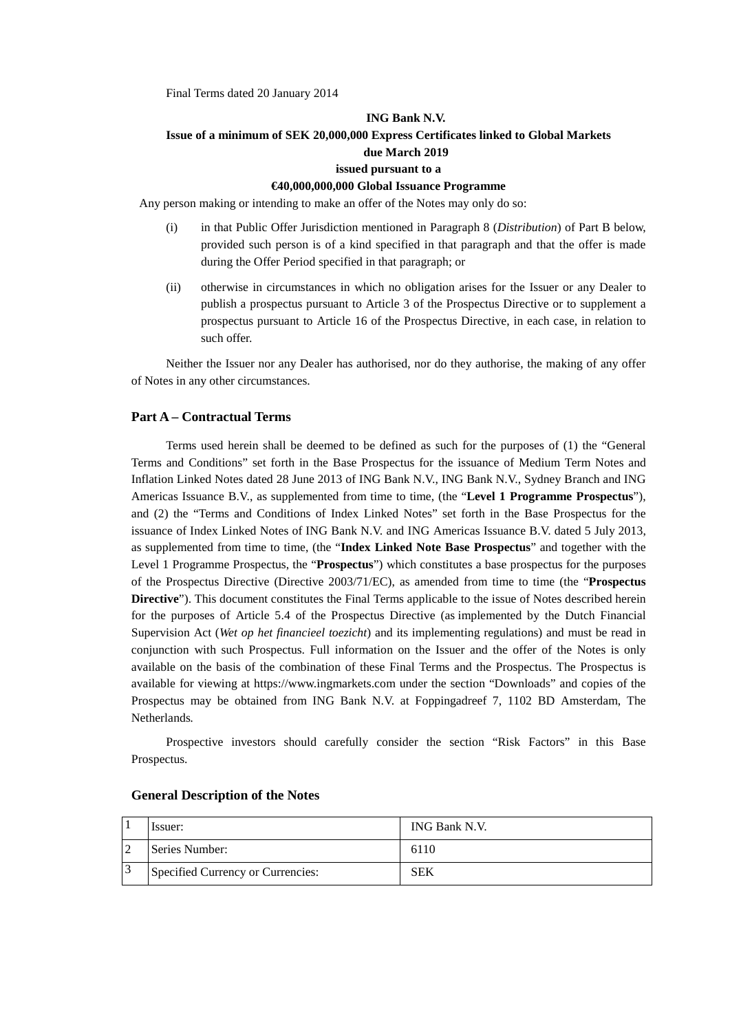Final Terms dated 20 January 2014

## **ING Bank N.V. Issue of a minimum of SEK 20,000,000 Express Certificates linked to Global Markets due March 2019 issued pursuant to a**

#### **€40,000,000,000 Global Issuance Programme**

Any person making or intending to make an offer of the Notes may only do so:

- (i) in that Public Offer Jurisdiction mentioned in Paragraph 8 (*Distribution*) of Part B below, provided such person is of a kind specified in that paragraph and that the offer is made during the Offer Period specified in that paragraph; or
- (ii) otherwise in circumstances in which no obligation arises for the Issuer or any Dealer to publish a prospectus pursuant to Article 3 of the Prospectus Directive or to supplement a prospectus pursuant to Article 16 of the Prospectus Directive, in each case, in relation to such offer.

Neither the Issuer nor any Dealer has authorised, nor do they authorise, the making of any offer of Notes in any other circumstances.

#### **Part A – Contractual Terms**

Terms used herein shall be deemed to be defined as such for the purposes of (1) the "General Terms and Conditions" set forth in the Base Prospectus for the issuance of Medium Term Notes and Inflation Linked Notes dated 28 June 2013 of ING Bank N.V., ING Bank N.V., Sydney Branch and ING Americas Issuance B.V., as supplemented from time to time, (the "**Level 1 Programme Prospectus**"), and (2) the "Terms and Conditions of Index Linked Notes" set forth in the Base Prospectus for the issuance of Index Linked Notes of ING Bank N.V. and ING Americas Issuance B.V. dated 5 July 2013, as supplemented from time to time, (the "**Index Linked Note Base Prospectus**" and together with the Level 1 Programme Prospectus, the "**Prospectus**") which constitutes a base prospectus for the purposes of the Prospectus Directive (Directive 2003/71/EC), as amended from time to time (the "**Prospectus Directive**"). This document constitutes the Final Terms applicable to the issue of Notes described herein for the purposes of Article 5.4 of the Prospectus Directive (as implemented by the Dutch Financial Supervision Act (*Wet op het financieel toezicht*) and its implementing regulations) and must be read in conjunction with such Prospectus. Full information on the Issuer and the offer of the Notes is only available on the basis of the combination of these Final Terms and the Prospectus. The Prospectus is available for viewing at https://www.ingmarkets.com under the section "Downloads" and copies of the Prospectus may be obtained from ING Bank N.V. at Foppingadreef 7, 1102 BD Amsterdam, The Netherlands*.*

Prospective investors should carefully consider the section "Risk Factors" in this Base Prospectus.

| Issuer:                           | ING Bank N.V. |
|-----------------------------------|---------------|
| Series Number:                    | 6110          |
| Specified Currency or Currencies: | SEK           |

#### **General Description of the Notes**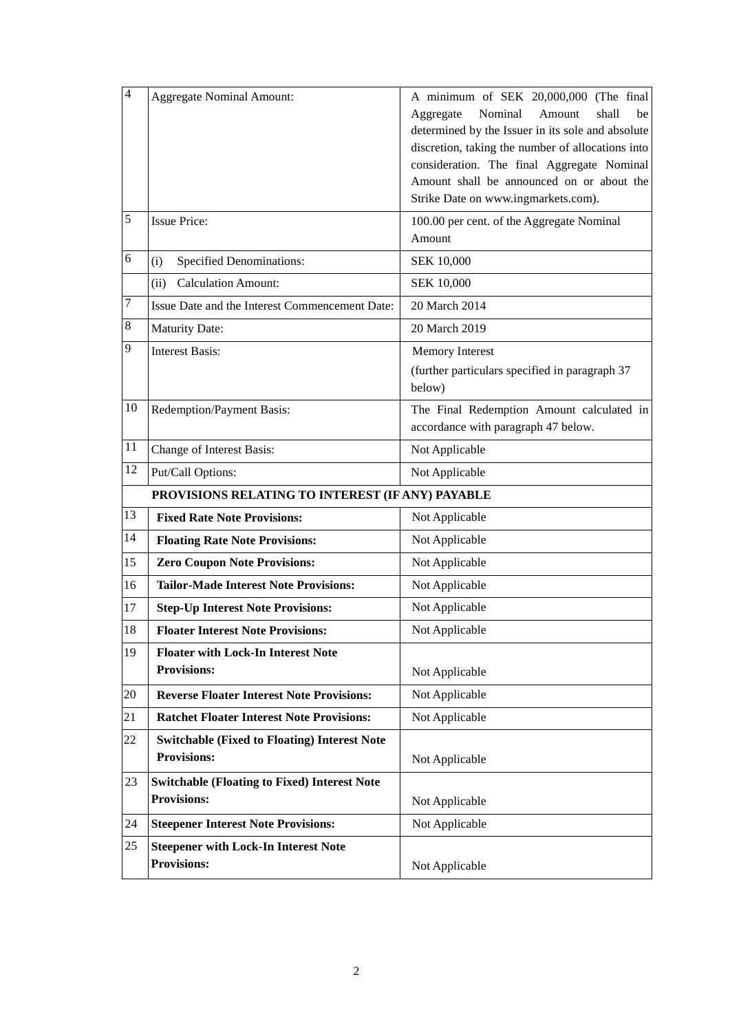| $\overline{4}$ | <b>Aggregate Nominal Amount:</b>                                          | A minimum of SEK 20,000,000 (The final<br>Nominal<br>Aggregate<br>Amount<br>shall<br>be<br>determined by the Issuer in its sole and absolute<br>discretion, taking the number of allocations into<br>consideration. The final Aggregate Nominal<br>Amount shall be announced on or about the<br>Strike Date on www.ingmarkets.com). |
|----------------|---------------------------------------------------------------------------|-------------------------------------------------------------------------------------------------------------------------------------------------------------------------------------------------------------------------------------------------------------------------------------------------------------------------------------|
| 5              | <b>Issue Price:</b>                                                       | 100.00 per cent. of the Aggregate Nominal<br>Amount                                                                                                                                                                                                                                                                                 |
| 6              | <b>Specified Denominations:</b><br>(i)                                    | SEK 10,000                                                                                                                                                                                                                                                                                                                          |
|                | <b>Calculation Amount:</b><br>(ii)                                        | <b>SEK 10,000</b>                                                                                                                                                                                                                                                                                                                   |
| 7              | Issue Date and the Interest Commencement Date:                            | 20 March 2014                                                                                                                                                                                                                                                                                                                       |
| 8              | <b>Maturity Date:</b>                                                     | 20 March 2019                                                                                                                                                                                                                                                                                                                       |
| 9              | <b>Interest Basis:</b>                                                    | Memory Interest<br>(further particulars specified in paragraph 37<br>below)                                                                                                                                                                                                                                                         |
| 10             | Redemption/Payment Basis:                                                 | The Final Redemption Amount calculated in<br>accordance with paragraph 47 below.                                                                                                                                                                                                                                                    |
| 11             | Change of Interest Basis:                                                 | Not Applicable                                                                                                                                                                                                                                                                                                                      |
| 12             | Put/Call Options:                                                         | Not Applicable                                                                                                                                                                                                                                                                                                                      |
|                | PROVISIONS RELATING TO INTEREST (IF ANY) PAYABLE                          |                                                                                                                                                                                                                                                                                                                                     |
| 13             | <b>Fixed Rate Note Provisions:</b>                                        | Not Applicable                                                                                                                                                                                                                                                                                                                      |
| 14             | <b>Floating Rate Note Provisions:</b>                                     | Not Applicable                                                                                                                                                                                                                                                                                                                      |
| 15             | <b>Zero Coupon Note Provisions:</b>                                       | Not Applicable                                                                                                                                                                                                                                                                                                                      |
| 16             | <b>Tailor-Made Interest Note Provisions:</b>                              | Not Applicable                                                                                                                                                                                                                                                                                                                      |
| 17             | <b>Step-Up Interest Note Provisions:</b>                                  | Not Applicable                                                                                                                                                                                                                                                                                                                      |
| 18             | <b>Floater Interest Note Provisions:</b>                                  | Not Applicable                                                                                                                                                                                                                                                                                                                      |
| 19             | <b>Floater with Lock-In Interest Note</b><br><b>Provisions:</b>           | Not Applicable                                                                                                                                                                                                                                                                                                                      |
| 20             | <b>Reverse Floater Interest Note Provisions:</b>                          | Not Applicable                                                                                                                                                                                                                                                                                                                      |
| 21             | <b>Ratchet Floater Interest Note Provisions:</b>                          | Not Applicable                                                                                                                                                                                                                                                                                                                      |
| 22             | <b>Switchable (Fixed to Floating) Interest Note</b><br><b>Provisions:</b> | Not Applicable                                                                                                                                                                                                                                                                                                                      |
| 23             | <b>Switchable (Floating to Fixed) Interest Note</b><br><b>Provisions:</b> | Not Applicable                                                                                                                                                                                                                                                                                                                      |
| 24             | <b>Steepener Interest Note Provisions:</b>                                | Not Applicable                                                                                                                                                                                                                                                                                                                      |
| 25             | <b>Steepener with Lock-In Interest Note</b><br><b>Provisions:</b>         | Not Applicable                                                                                                                                                                                                                                                                                                                      |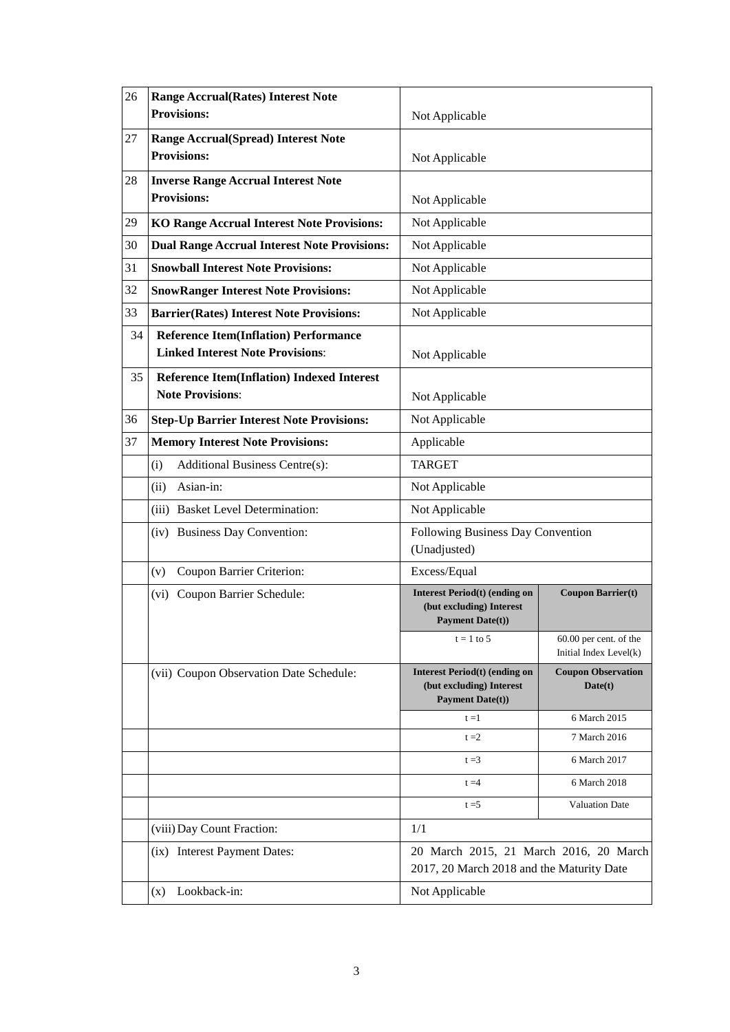| 26       | <b>Range Accrual(Rates) Interest Note</b><br><b>Provisions:</b>                                                                              | Not Applicable                                                                              |                                                    |
|----------|----------------------------------------------------------------------------------------------------------------------------------------------|---------------------------------------------------------------------------------------------|----------------------------------------------------|
| 27       | <b>Range Accrual(Spread) Interest Note</b><br><b>Provisions:</b>                                                                             | Not Applicable                                                                              |                                                    |
| 28       | <b>Inverse Range Accrual Interest Note</b><br><b>Provisions:</b>                                                                             | Not Applicable                                                                              |                                                    |
| 29       | <b>KO Range Accrual Interest Note Provisions:</b>                                                                                            | Not Applicable                                                                              |                                                    |
| 30       | <b>Dual Range Accrual Interest Note Provisions:</b>                                                                                          | Not Applicable                                                                              |                                                    |
| 31       | <b>Snowball Interest Note Provisions:</b>                                                                                                    | Not Applicable                                                                              |                                                    |
| 32       | <b>SnowRanger Interest Note Provisions:</b>                                                                                                  | Not Applicable                                                                              |                                                    |
| 33       | <b>Barrier(Rates) Interest Note Provisions:</b>                                                                                              | Not Applicable                                                                              |                                                    |
| 34<br>35 | <b>Reference Item(Inflation) Performance</b><br><b>Linked Interest Note Provisions:</b><br><b>Reference Item(Inflation) Indexed Interest</b> | Not Applicable                                                                              |                                                    |
|          | <b>Note Provisions:</b>                                                                                                                      | Not Applicable                                                                              |                                                    |
| 36       | <b>Step-Up Barrier Interest Note Provisions:</b>                                                                                             | Not Applicable                                                                              |                                                    |
| 37       | <b>Memory Interest Note Provisions:</b>                                                                                                      | Applicable                                                                                  |                                                    |
|          | Additional Business Centre(s):<br>(i)                                                                                                        | <b>TARGET</b>                                                                               |                                                    |
|          | Asian-in:<br>(ii)                                                                                                                            | Not Applicable                                                                              |                                                    |
|          | (iii) Basket Level Determination:                                                                                                            | Not Applicable                                                                              |                                                    |
|          | (iv) Business Day Convention:                                                                                                                | Following Business Day Convention<br>(Unadjusted)                                           |                                                    |
|          | Coupon Barrier Criterion:<br>(v)                                                                                                             | Excess/Equal                                                                                |                                                    |
|          | (vi) Coupon Barrier Schedule:                                                                                                                | <b>Interest Period(t) (ending on</b><br>(but excluding) Interest<br><b>Payment Date(t))</b> | <b>Coupon Barrier(t)</b>                           |
|          |                                                                                                                                              | $t = 1$ to 5                                                                                | $60.00$ per cent. of the<br>Initial Index Level(k) |
|          | (vii) Coupon Observation Date Schedule:                                                                                                      | <b>Interest Period(t) (ending on</b><br>(but excluding) Interest<br><b>Payment Date(t))</b> | <b>Coupon Observation</b><br>Date(t)               |
|          |                                                                                                                                              | $t = 1$                                                                                     | 6 March 2015                                       |
|          |                                                                                                                                              | $t = 2$                                                                                     | 7 March 2016                                       |
|          |                                                                                                                                              | $t = 3$                                                                                     | 6 March 2017                                       |
|          |                                                                                                                                              | $t = 4$                                                                                     | 6 March 2018                                       |
|          |                                                                                                                                              | $t = 5$                                                                                     | <b>Valuation Date</b>                              |
|          | (viii) Day Count Fraction:                                                                                                                   | 1/1                                                                                         |                                                    |
|          | (ix) Interest Payment Dates:                                                                                                                 | 20 March 2015, 21 March 2016, 20 March<br>2017, 20 March 2018 and the Maturity Date         |                                                    |
|          | Lookback-in:<br>(x)                                                                                                                          | Not Applicable                                                                              |                                                    |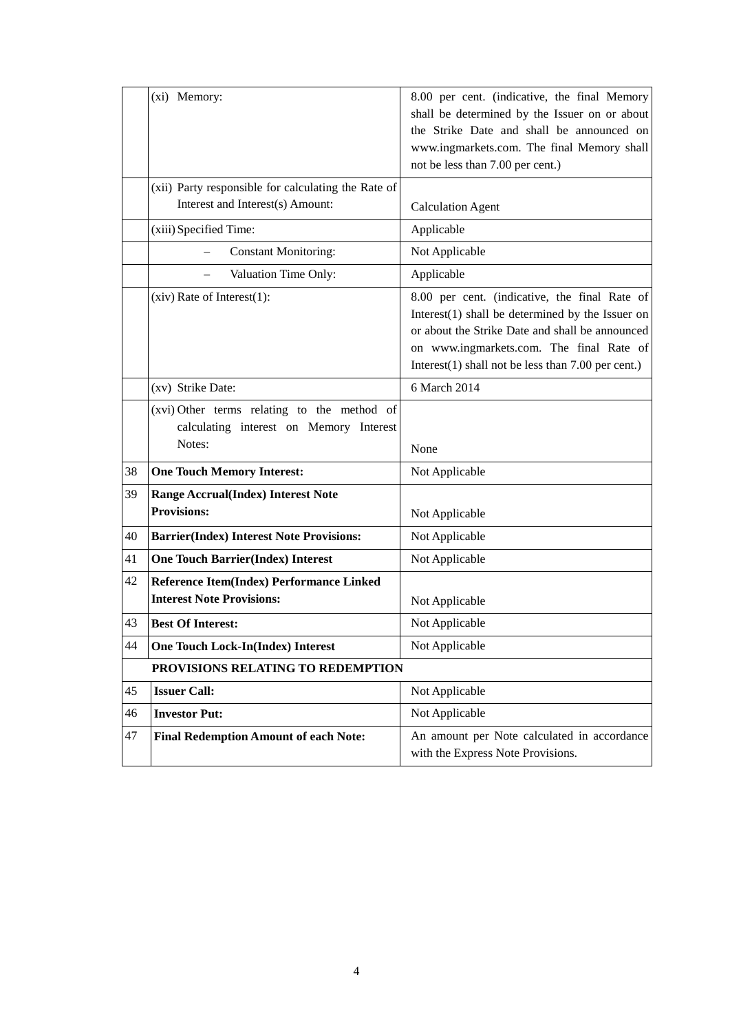|    | (xi) Memory:                                                                                     | 8.00 per cent. (indicative, the final Memory<br>shall be determined by the Issuer on or about<br>the Strike Date and shall be announced on<br>www.ingmarkets.com. The final Memory shall<br>not be less than 7.00 per cent.)                                 |
|----|--------------------------------------------------------------------------------------------------|--------------------------------------------------------------------------------------------------------------------------------------------------------------------------------------------------------------------------------------------------------------|
|    | (xii) Party responsible for calculating the Rate of<br>Interest and Interest(s) Amount:          | <b>Calculation Agent</b>                                                                                                                                                                                                                                     |
|    | (xiii) Specified Time:                                                                           | Applicable                                                                                                                                                                                                                                                   |
|    | <b>Constant Monitoring:</b>                                                                      | Not Applicable                                                                                                                                                                                                                                               |
|    | Valuation Time Only:                                                                             | Applicable                                                                                                                                                                                                                                                   |
|    | $(xiv)$ Rate of Interest $(1)$ :                                                                 | 8.00 per cent. (indicative, the final Rate of<br>Interest $(1)$ shall be determined by the Issuer on<br>or about the Strike Date and shall be announced<br>on www.ingmarkets.com. The final Rate of<br>Interest $(1)$ shall not be less than 7.00 per cent.) |
|    | (xv) Strike Date:                                                                                | 6 March 2014                                                                                                                                                                                                                                                 |
|    | (xvi) Other terms relating to the method of<br>calculating interest on Memory Interest<br>Notes: | None                                                                                                                                                                                                                                                         |
| 38 | <b>One Touch Memory Interest:</b>                                                                | Not Applicable                                                                                                                                                                                                                                               |
| 39 | <b>Range Accrual(Index) Interest Note</b><br><b>Provisions:</b>                                  | Not Applicable                                                                                                                                                                                                                                               |
| 40 | <b>Barrier(Index) Interest Note Provisions:</b>                                                  | Not Applicable                                                                                                                                                                                                                                               |
| 41 | <b>One Touch Barrier(Index) Interest</b>                                                         | Not Applicable                                                                                                                                                                                                                                               |
| 42 | Reference Item(Index) Performance Linked<br><b>Interest Note Provisions:</b>                     | Not Applicable                                                                                                                                                                                                                                               |
| 43 | <b>Best Of Interest:</b>                                                                         | Not Applicable                                                                                                                                                                                                                                               |
| 44 | <b>One Touch Lock-In(Index) Interest</b>                                                         | Not Applicable                                                                                                                                                                                                                                               |
|    | PROVISIONS RELATING TO REDEMPTION                                                                |                                                                                                                                                                                                                                                              |
| 45 | <b>Issuer Call:</b>                                                                              | Not Applicable                                                                                                                                                                                                                                               |
| 46 | <b>Investor Put:</b>                                                                             | Not Applicable                                                                                                                                                                                                                                               |
| 47 | <b>Final Redemption Amount of each Note:</b>                                                     | An amount per Note calculated in accordance<br>with the Express Note Provisions.                                                                                                                                                                             |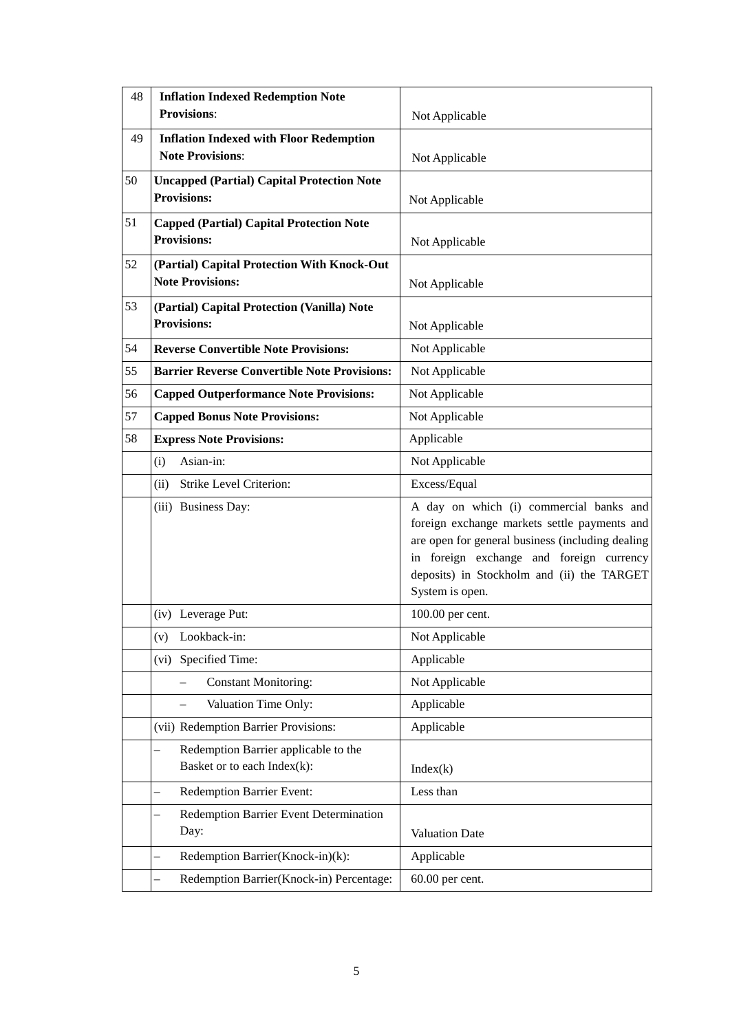| 48 | <b>Inflation Indexed Redemption Note</b><br><b>Provisions:</b>          | Not Applicable                                                                                                                                                                                                                                           |
|----|-------------------------------------------------------------------------|----------------------------------------------------------------------------------------------------------------------------------------------------------------------------------------------------------------------------------------------------------|
| 49 | <b>Inflation Indexed with Floor Redemption</b>                          |                                                                                                                                                                                                                                                          |
|    | <b>Note Provisions:</b>                                                 | Not Applicable                                                                                                                                                                                                                                           |
| 50 | <b>Uncapped (Partial) Capital Protection Note</b><br><b>Provisions:</b> | Not Applicable                                                                                                                                                                                                                                           |
| 51 | <b>Capped (Partial) Capital Protection Note</b><br><b>Provisions:</b>   | Not Applicable                                                                                                                                                                                                                                           |
| 52 | (Partial) Capital Protection With Knock-Out<br><b>Note Provisions:</b>  | Not Applicable                                                                                                                                                                                                                                           |
| 53 | (Partial) Capital Protection (Vanilla) Note<br><b>Provisions:</b>       | Not Applicable                                                                                                                                                                                                                                           |
| 54 | <b>Reverse Convertible Note Provisions:</b>                             | Not Applicable                                                                                                                                                                                                                                           |
| 55 | <b>Barrier Reverse Convertible Note Provisions:</b>                     | Not Applicable                                                                                                                                                                                                                                           |
| 56 | <b>Capped Outperformance Note Provisions:</b>                           | Not Applicable                                                                                                                                                                                                                                           |
| 57 | <b>Capped Bonus Note Provisions:</b>                                    | Not Applicable                                                                                                                                                                                                                                           |
| 58 | <b>Express Note Provisions:</b>                                         | Applicable                                                                                                                                                                                                                                               |
|    | Asian-in:<br>(i)                                                        | Not Applicable                                                                                                                                                                                                                                           |
|    | Strike Level Criterion:<br>(ii)                                         | Excess/Equal                                                                                                                                                                                                                                             |
|    | (iii) Business Day:                                                     | A day on which (i) commercial banks and<br>foreign exchange markets settle payments and<br>are open for general business (including dealing<br>in foreign exchange and foreign currency<br>deposits) in Stockholm and (ii) the TARGET<br>System is open. |
|    | (iv) Leverage Put:                                                      | 100.00 per cent.                                                                                                                                                                                                                                         |
|    | (v) Lookback-in:                                                        | Not Applicable                                                                                                                                                                                                                                           |
|    | Specified Time:<br>(vi)                                                 | Applicable                                                                                                                                                                                                                                               |
|    | <b>Constant Monitoring:</b>                                             | Not Applicable                                                                                                                                                                                                                                           |
|    | Valuation Time Only:                                                    | Applicable                                                                                                                                                                                                                                               |
|    | (vii) Redemption Barrier Provisions:                                    | Applicable                                                                                                                                                                                                                                               |
|    | Redemption Barrier applicable to the<br>Basket or to each Index(k):     | Index(k)                                                                                                                                                                                                                                                 |
|    | <b>Redemption Barrier Event:</b>                                        | Less than                                                                                                                                                                                                                                                |
|    | Redemption Barrier Event Determination<br>Day:                          | Valuation Date                                                                                                                                                                                                                                           |
|    | Redemption Barrier(Knock-in)(k):                                        | Applicable                                                                                                                                                                                                                                               |
|    | Redemption Barrier(Knock-in) Percentage:                                | 60.00 per cent.                                                                                                                                                                                                                                          |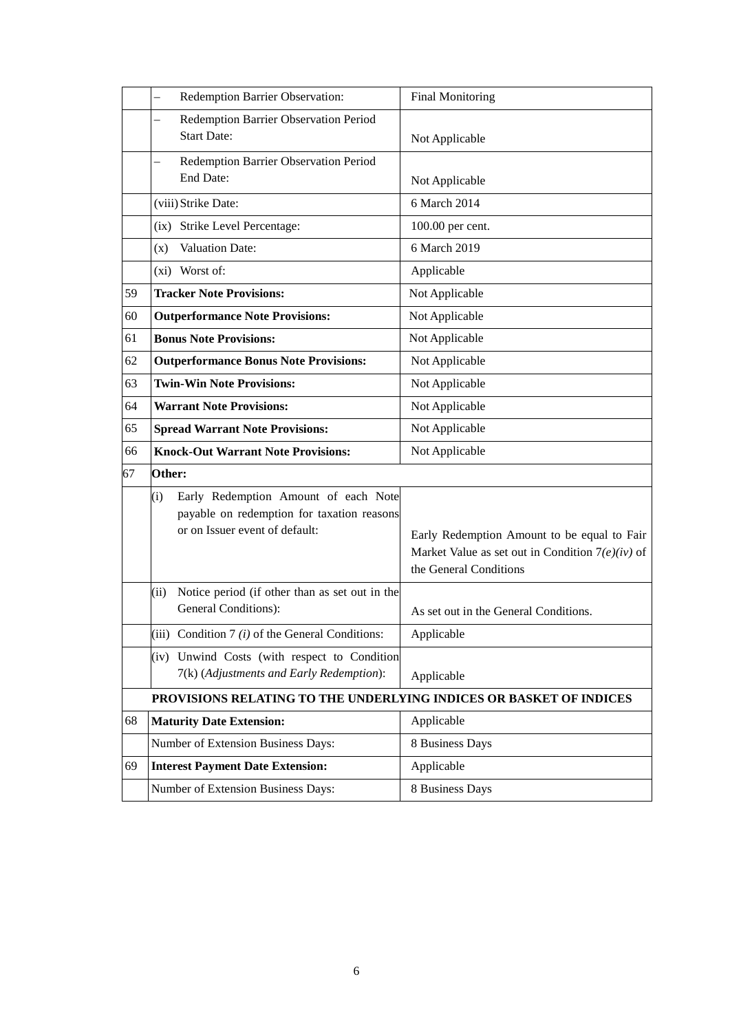|    | Redemption Barrier Observation:                                                                                             | <b>Final Monitoring</b>                                                                                                     |
|----|-----------------------------------------------------------------------------------------------------------------------------|-----------------------------------------------------------------------------------------------------------------------------|
|    | Redemption Barrier Observation Period<br><b>Start Date:</b>                                                                 | Not Applicable                                                                                                              |
|    | Redemption Barrier Observation Period<br>End Date:                                                                          | Not Applicable                                                                                                              |
|    | (viii) Strike Date:                                                                                                         | 6 March 2014                                                                                                                |
|    | (ix) Strike Level Percentage:                                                                                               | 100.00 per cent.                                                                                                            |
|    | Valuation Date:<br>(x)                                                                                                      | 6 March 2019                                                                                                                |
|    | (xi) Worst of:                                                                                                              | Applicable                                                                                                                  |
| 59 | <b>Tracker Note Provisions:</b>                                                                                             | Not Applicable                                                                                                              |
| 60 | <b>Outperformance Note Provisions:</b>                                                                                      | Not Applicable                                                                                                              |
| 61 | <b>Bonus Note Provisions:</b>                                                                                               | Not Applicable                                                                                                              |
| 62 | <b>Outperformance Bonus Note Provisions:</b>                                                                                | Not Applicable                                                                                                              |
| 63 | <b>Twin-Win Note Provisions:</b>                                                                                            | Not Applicable                                                                                                              |
| 64 | <b>Warrant Note Provisions:</b>                                                                                             | Not Applicable                                                                                                              |
| 65 | <b>Spread Warrant Note Provisions:</b>                                                                                      | Not Applicable                                                                                                              |
|    |                                                                                                                             |                                                                                                                             |
| 66 | <b>Knock-Out Warrant Note Provisions:</b>                                                                                   | Not Applicable                                                                                                              |
| 67 | Other:                                                                                                                      |                                                                                                                             |
|    | Early Redemption Amount of each Note<br>(i)<br>payable on redemption for taxation reasons<br>or on Issuer event of default: | Early Redemption Amount to be equal to Fair<br>Market Value as set out in Condition $7(e)(iv)$ of<br>the General Conditions |
|    | Notice period (if other than as set out in the<br>(ii)<br>General Conditions):                                              | As set out in the General Conditions.                                                                                       |
|    | (iii) Condition $7(i)$ of the General Conditions:                                                                           | Applicable                                                                                                                  |
|    | (iv) Unwind Costs (with respect to Condition<br>7(k) (Adjustments and Early Redemption):                                    | Applicable                                                                                                                  |
|    | PROVISIONS RELATING TO THE UNDERLYING INDICES OR BASKET OF INDICES                                                          |                                                                                                                             |
| 68 | <b>Maturity Date Extension:</b>                                                                                             | Applicable                                                                                                                  |
|    | Number of Extension Business Days:                                                                                          | 8 Business Days                                                                                                             |
| 69 | <b>Interest Payment Date Extension:</b>                                                                                     | Applicable                                                                                                                  |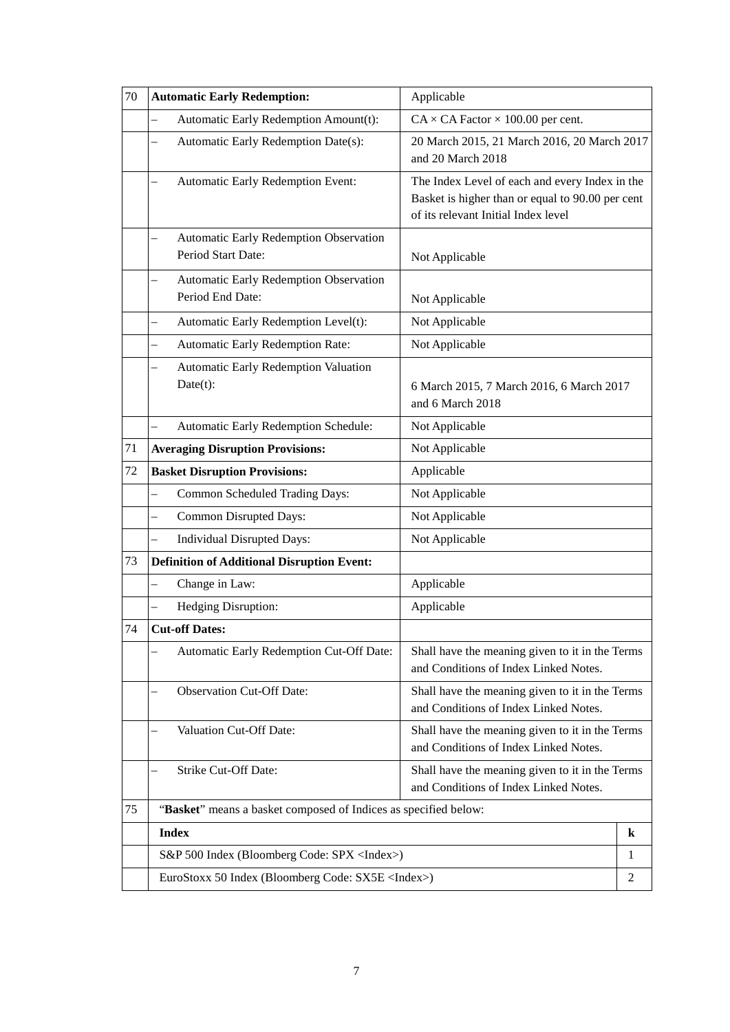| 70 | <b>Automatic Early Redemption:</b>                               | Applicable                                                                                                                                |   |
|----|------------------------------------------------------------------|-------------------------------------------------------------------------------------------------------------------------------------------|---|
|    | Automatic Early Redemption Amount(t):<br>$\equiv$                | $CA \times CA$ Factor $\times$ 100.00 per cent.                                                                                           |   |
|    | Automatic Early Redemption Date(s):                              | 20 March 2015, 21 March 2016, 20 March 2017<br>and 20 March 2018                                                                          |   |
|    | Automatic Early Redemption Event:                                | The Index Level of each and every Index in the<br>Basket is higher than or equal to 90.00 per cent<br>of its relevant Initial Index level |   |
|    | Automatic Early Redemption Observation<br>Period Start Date:     | Not Applicable                                                                                                                            |   |
|    | Automatic Early Redemption Observation<br>Period End Date:       | Not Applicable                                                                                                                            |   |
|    | Automatic Early Redemption Level(t):<br>$\overline{\phantom{0}}$ | Not Applicable                                                                                                                            |   |
|    | Automatic Early Redemption Rate:<br>$\overline{\phantom{0}}$     | Not Applicable                                                                                                                            |   |
|    | Automatic Early Redemption Valuation<br>Date(t):                 | 6 March 2015, 7 March 2016, 6 March 2017<br>and 6 March 2018                                                                              |   |
|    | Automatic Early Redemption Schedule:<br>$\equiv$                 | Not Applicable                                                                                                                            |   |
| 71 | <b>Averaging Disruption Provisions:</b>                          | Not Applicable                                                                                                                            |   |
| 72 | <b>Basket Disruption Provisions:</b>                             | Applicable                                                                                                                                |   |
|    | Common Scheduled Trading Days:<br>$\overline{\phantom{0}}$       | Not Applicable                                                                                                                            |   |
|    | Common Disrupted Days:<br>$\overline{\phantom{0}}$               | Not Applicable                                                                                                                            |   |
|    | Individual Disrupted Days:<br>$\overline{\phantom{0}}$           | Not Applicable                                                                                                                            |   |
| 73 | <b>Definition of Additional Disruption Event:</b>                |                                                                                                                                           |   |
|    | Change in Law:                                                   | Applicable                                                                                                                                |   |
|    | Hedging Disruption:                                              | Applicable                                                                                                                                |   |
| 74 | <b>Cut-off Dates:</b>                                            |                                                                                                                                           |   |
|    | Automatic Early Redemption Cut-Off Date:                         | Shall have the meaning given to it in the Terms<br>and Conditions of Index Linked Notes.                                                  |   |
|    | <b>Observation Cut-Off Date:</b>                                 | Shall have the meaning given to it in the Terms<br>and Conditions of Index Linked Notes.                                                  |   |
|    | Valuation Cut-Off Date:                                          | Shall have the meaning given to it in the Terms<br>and Conditions of Index Linked Notes.                                                  |   |
|    | Strike Cut-Off Date:                                             | Shall have the meaning given to it in the Terms<br>and Conditions of Index Linked Notes.                                                  |   |
| 75 | "Basket" means a basket composed of Indices as specified below:  |                                                                                                                                           |   |
|    | <b>Index</b>                                                     |                                                                                                                                           | k |
|    | S&P 500 Index (Bloomberg Code: SPX <index>)</index>              |                                                                                                                                           | 1 |
|    | EuroStoxx 50 Index (Bloomberg Code: SX5E <index>)</index>        |                                                                                                                                           | 2 |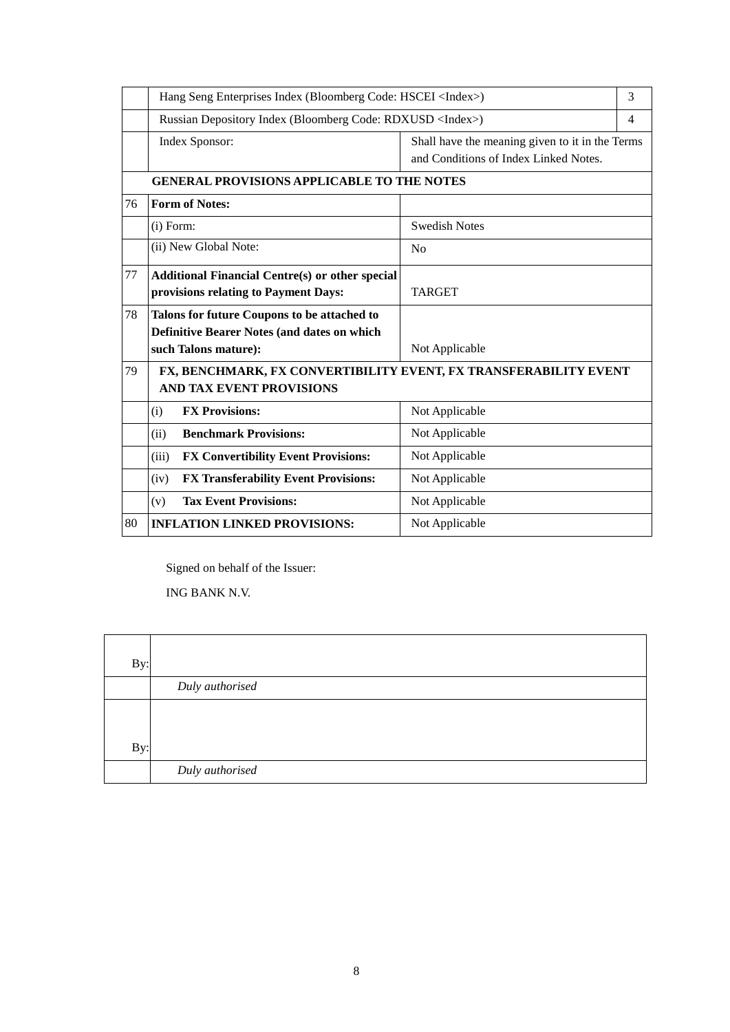|    | Hang Seng Enterprises Index (Bloomberg Code: HSCEI <index>)</index>                                                       |                                                                                          | 3              |
|----|---------------------------------------------------------------------------------------------------------------------------|------------------------------------------------------------------------------------------|----------------|
|    | Russian Depository Index (Bloomberg Code: RDXUSD <index>)</index>                                                         |                                                                                          | $\overline{4}$ |
|    | Index Sponsor:                                                                                                            | Shall have the meaning given to it in the Terms<br>and Conditions of Index Linked Notes. |                |
|    | <b>GENERAL PROVISIONS APPLICABLE TO THE NOTES</b>                                                                         |                                                                                          |                |
| 76 | <b>Form of Notes:</b>                                                                                                     |                                                                                          |                |
|    | $(i)$ Form:                                                                                                               | <b>Swedish Notes</b>                                                                     |                |
|    | (ii) New Global Note:                                                                                                     | N <sub>0</sub>                                                                           |                |
| 77 | <b>Additional Financial Centre(s) or other special</b><br>provisions relating to Payment Days:                            | <b>TARGET</b>                                                                            |                |
| 78 | Talons for future Coupons to be attached to<br><b>Definitive Bearer Notes (and dates on which</b><br>such Talons mature): | Not Applicable                                                                           |                |
| 79 | FX, BENCHMARK, FX CONVERTIBILITY EVENT, FX TRANSFERABILITY EVENT<br><b>AND TAX EVENT PROVISIONS</b>                       |                                                                                          |                |
|    | <b>FX Provisions:</b><br>(i)                                                                                              | Not Applicable                                                                           |                |
|    | <b>Benchmark Provisions:</b><br>(ii)                                                                                      | Not Applicable                                                                           |                |
|    | <b>FX Convertibility Event Provisions:</b><br>(iii)                                                                       | Not Applicable                                                                           |                |
|    | FX Transferability Event Provisions:<br>(iv)                                                                              | Not Applicable                                                                           |                |
|    | <b>Tax Event Provisions:</b><br>(v)                                                                                       | Not Applicable                                                                           |                |
| 80 | <b>INFLATION LINKED PROVISIONS:</b>                                                                                       | Not Applicable                                                                           |                |

Signed on behalf of the Issuer:

ING BANK N.V.

| By: |                 |
|-----|-----------------|
|     | Duly authorised |
|     |                 |
|     |                 |
| By: |                 |
|     | Duly authorised |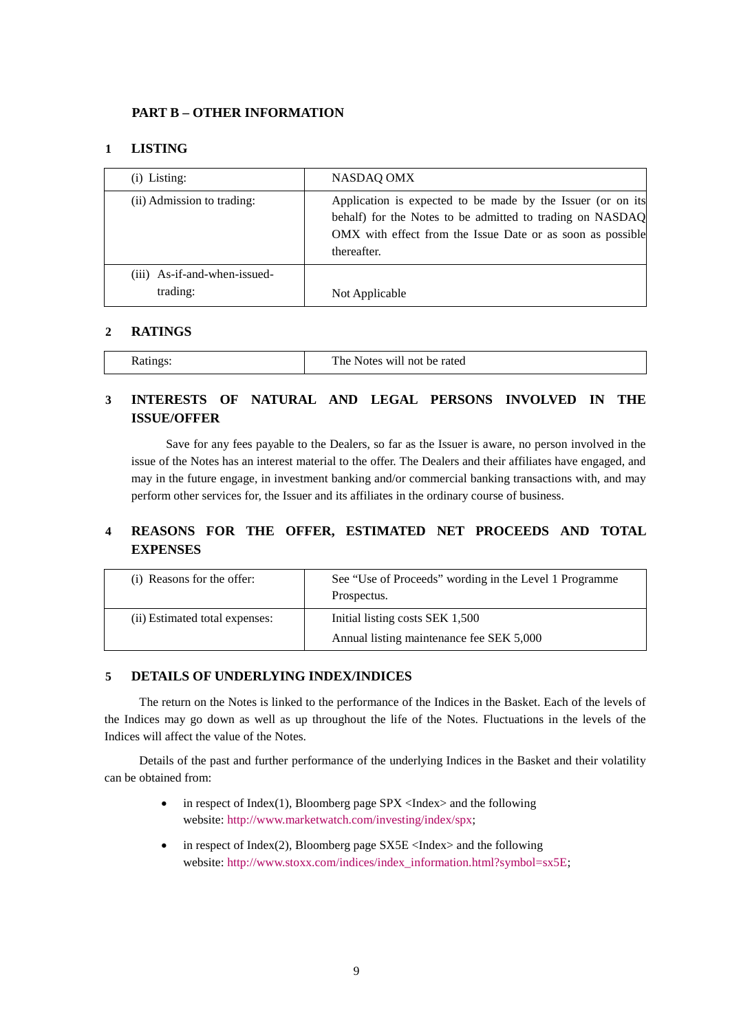### **PART B – OTHER INFORMATION**

### **1 LISTING**

| $(i)$ Listing:                           | NASDAQ OMX                                                                                                                                                                                            |
|------------------------------------------|-------------------------------------------------------------------------------------------------------------------------------------------------------------------------------------------------------|
| (ii) Admission to trading:               | Application is expected to be made by the Issuer (or on its<br>behalf) for the Notes to be admitted to trading on NASDAQ<br>OMX with effect from the Issue Date or as soon as possible<br>thereafter. |
| (iii) As-if-and-when-issued-<br>trading: | Not Applicable                                                                                                                                                                                        |

### **2 RATINGS**

| The Notes will not<br>be rated<br><b>Ratings</b> |
|--------------------------------------------------|
|--------------------------------------------------|

# **3 INTERESTS OF NATURAL AND LEGAL PERSONS INVOLVED IN THE ISSUE/OFFER**

Save for any fees payable to the Dealers, so far as the Issuer is aware, no person involved in the issue of the Notes has an interest material to the offer. The Dealers and their affiliates have engaged, and may in the future engage, in investment banking and/or commercial banking transactions with, and may perform other services for, the Issuer and its affiliates in the ordinary course of business.

## **4 REASONS FOR THE OFFER, ESTIMATED NET PROCEEDS AND TOTAL EXPENSES**

| (i) Reasons for the offer:     | See "Use of Proceeds" wording in the Level 1 Programme<br>Prospectus.       |
|--------------------------------|-----------------------------------------------------------------------------|
| (ii) Estimated total expenses: | Initial listing costs SEK 1,500<br>Annual listing maintenance fee SEK 5,000 |

### **5 DETAILS OF UNDERLYING INDEX/INDICES**

The return on the Notes is linked to the performance of the Indices in the Basket. Each of the levels of the Indices may go down as well as up throughout the life of the Notes. Fluctuations in the levels of the Indices will affect the value of the Notes.

Details of the past and further performance of the underlying Indices in the Basket and their volatility can be obtained from:

- in respect of Index(1), Bloomberg page  $SPX \leq Index$  and the following website: [http://www.marketwatch.com/investing/index/spx;](http://www.marketwatch.com/investing/index/spx)
- in respect of Index(2), Bloomberg page  $S X 5E < I$ ndex $>$  and the following website: [http://www.stoxx.com/indices/index\\_information.html?symbol=sx5E;](http://www.stoxx.com/indices/index_information.html?symbol=sx5E)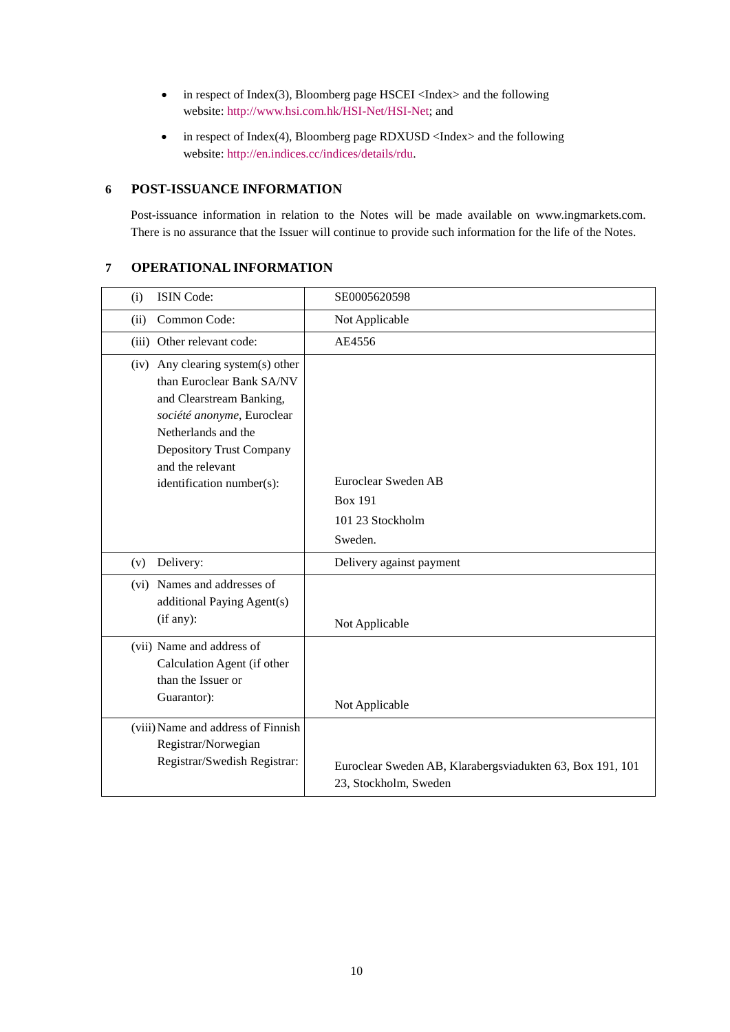- in respect of Index(3), Bloomberg page HSCEI <Index> and the following website: [http://www.hsi.com.hk/HSI-Net/HSI-Net;](http://www.hsi.com.hk/HSI-Net/HSI-Net) and
- in respect of Index(4), Bloomberg page RDXUSD <Index> and the following website: [http://en.indices.cc/indices/details/rdu.](http://en.indices.cc/indices/details/rdu)

## **6 POST-ISSUANCE INFORMATION**

Post-issuance information in relation to the Notes will be made available on www.ingmarkets.com. There is no assurance that the Issuer will continue to provide such information for the life of the Notes.

### **7 OPERATIONAL INFORMATION**

| (i)  | ISIN Code:                                                                                                                                                                                                                          | SE0005620598                                                                       |
|------|-------------------------------------------------------------------------------------------------------------------------------------------------------------------------------------------------------------------------------------|------------------------------------------------------------------------------------|
| (ii) | Common Code:                                                                                                                                                                                                                        | Not Applicable                                                                     |
|      | (iii) Other relevant code:                                                                                                                                                                                                          | AE4556                                                                             |
|      | (iv) Any clearing system(s) other<br>than Euroclear Bank SA/NV<br>and Clearstream Banking,<br>société anonyme, Euroclear<br>Netherlands and the<br><b>Depository Trust Company</b><br>and the relevant<br>identification number(s): | Euroclear Sweden AB<br><b>Box 191</b><br>101 23 Stockholm<br>Sweden.               |
| (v)  | Delivery:                                                                                                                                                                                                                           | Delivery against payment                                                           |
|      | (vi) Names and addresses of<br>additional Paying Agent(s)<br>(if any):                                                                                                                                                              | Not Applicable                                                                     |
|      | (vii) Name and address of<br>Calculation Agent (if other<br>than the Issuer or<br>Guarantor):                                                                                                                                       | Not Applicable                                                                     |
|      | (viii) Name and address of Finnish<br>Registrar/Norwegian<br>Registrar/Swedish Registrar:                                                                                                                                           | Euroclear Sweden AB, Klarabergsviadukten 63, Box 191, 101<br>23, Stockholm, Sweden |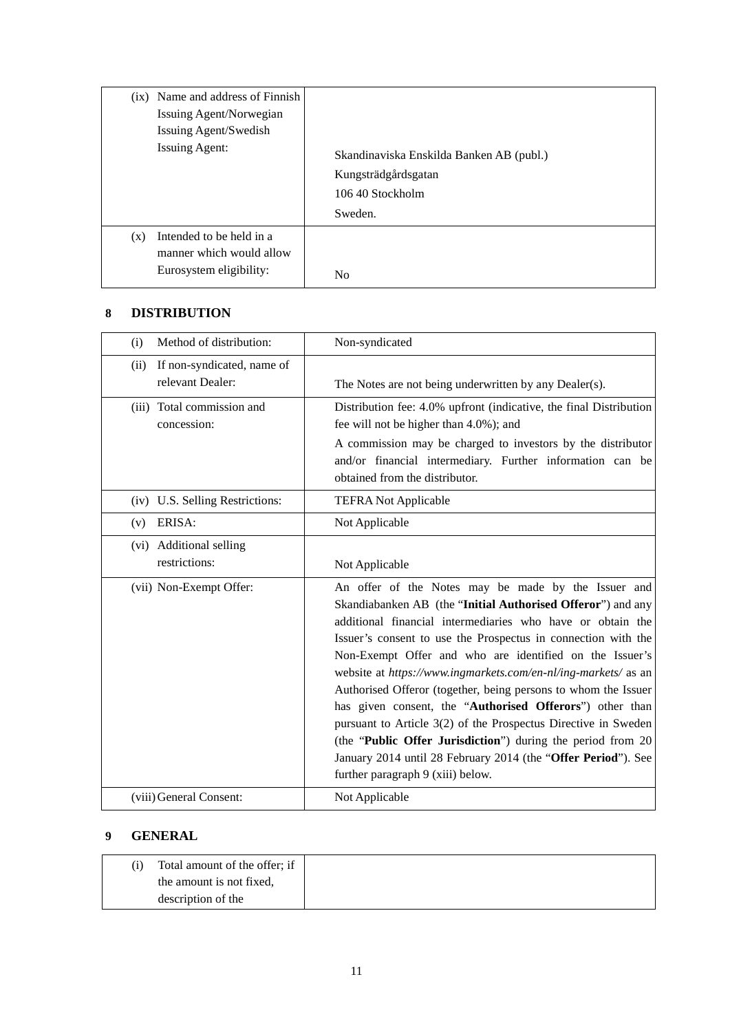| (ix) Name and address of Finnish                                                       | Skandinaviska Enskilda Banken AB (publ.) |
|----------------------------------------------------------------------------------------|------------------------------------------|
| Issuing Agent/Norwegian                                                                | Kungsträdgårdsgatan                      |
| Issuing Agent/Swedish                                                                  | 106.40 Stockholm                         |
| <b>Issuing Agent:</b>                                                                  | Sweden.                                  |
| Intended to be held in a<br>(x)<br>manner which would allow<br>Eurosystem eligibility: | N <sub>0</sub>                           |

### **8 DISTRIBUTION**

| Method of distribution:<br>(i)                         | Non-syndicated                                                                                                                                                                                                                                                                                                                                                                                                                                                                                                                                                                                                                                                                                                                                      |
|--------------------------------------------------------|-----------------------------------------------------------------------------------------------------------------------------------------------------------------------------------------------------------------------------------------------------------------------------------------------------------------------------------------------------------------------------------------------------------------------------------------------------------------------------------------------------------------------------------------------------------------------------------------------------------------------------------------------------------------------------------------------------------------------------------------------------|
| If non-syndicated, name of<br>(ii)<br>relevant Dealer: | The Notes are not being underwritten by any Dealer(s).                                                                                                                                                                                                                                                                                                                                                                                                                                                                                                                                                                                                                                                                                              |
| (iii) Total commission and<br>concession:              | Distribution fee: 4.0% upfront (indicative, the final Distribution<br>fee will not be higher than 4.0%); and<br>A commission may be charged to investors by the distributor<br>and/or financial intermediary. Further information can be<br>obtained from the distributor.                                                                                                                                                                                                                                                                                                                                                                                                                                                                          |
| (iv) U.S. Selling Restrictions:                        | <b>TEFRA Not Applicable</b>                                                                                                                                                                                                                                                                                                                                                                                                                                                                                                                                                                                                                                                                                                                         |
| ERISA:<br>(v)                                          | Not Applicable                                                                                                                                                                                                                                                                                                                                                                                                                                                                                                                                                                                                                                                                                                                                      |
| (vi) Additional selling<br>restrictions:               | Not Applicable                                                                                                                                                                                                                                                                                                                                                                                                                                                                                                                                                                                                                                                                                                                                      |
| (vii) Non-Exempt Offer:                                | An offer of the Notes may be made by the Issuer and<br>Skandiabanken AB (the "Initial Authorised Offeror") and any<br>additional financial intermediaries who have or obtain the<br>Issuer's consent to use the Prospectus in connection with the<br>Non-Exempt Offer and who are identified on the Issuer's<br>website at https://www.ingmarkets.com/en-nl/ing-markets/ as an<br>Authorised Offeror (together, being persons to whom the Issuer<br>has given consent, the "Authorised Offerors") other than<br>pursuant to Article 3(2) of the Prospectus Directive in Sweden<br>(the "Public Offer Jurisdiction") during the period from 20<br>January 2014 until 28 February 2014 (the "Offer Period"). See<br>further paragraph 9 (xiii) below. |
| (viii) General Consent:                                | Not Applicable                                                                                                                                                                                                                                                                                                                                                                                                                                                                                                                                                                                                                                                                                                                                      |

# **9 GENERAL**

| Total amount of the offer; if |  |
|-------------------------------|--|
| the amount is not fixed,      |  |
| description of the            |  |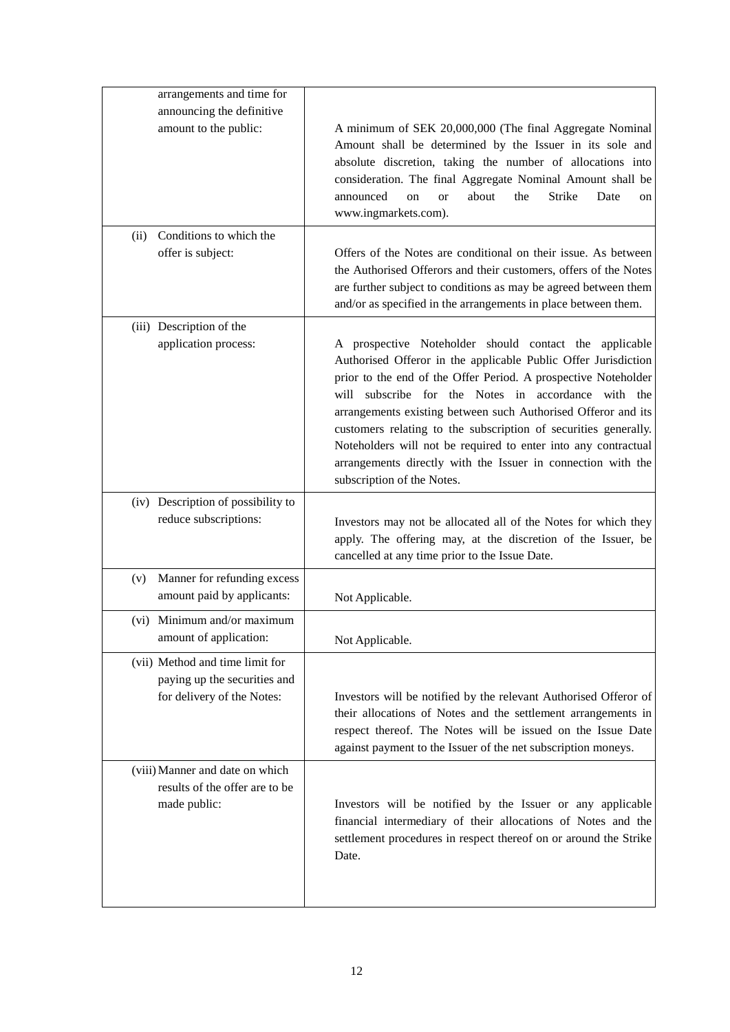| arrangements and time for                                                         |                                                                                                                                                                                                                                                                                                                                                                                                                                                                                                                                                       |
|-----------------------------------------------------------------------------------|-------------------------------------------------------------------------------------------------------------------------------------------------------------------------------------------------------------------------------------------------------------------------------------------------------------------------------------------------------------------------------------------------------------------------------------------------------------------------------------------------------------------------------------------------------|
| announcing the definitive                                                         |                                                                                                                                                                                                                                                                                                                                                                                                                                                                                                                                                       |
| amount to the public:                                                             | A minimum of SEK 20,000,000 (The final Aggregate Nominal<br>Amount shall be determined by the Issuer in its sole and<br>absolute discretion, taking the number of allocations into<br>consideration. The final Aggregate Nominal Amount shall be<br>announced<br>about<br>Strike<br>the<br>Date<br>on<br><b>or</b><br>on<br>www.ingmarkets.com).                                                                                                                                                                                                      |
| Conditions to which the<br>(ii)                                                   |                                                                                                                                                                                                                                                                                                                                                                                                                                                                                                                                                       |
| offer is subject:                                                                 | Offers of the Notes are conditional on their issue. As between<br>the Authorised Offerors and their customers, offers of the Notes<br>are further subject to conditions as may be agreed between them<br>and/or as specified in the arrangements in place between them.                                                                                                                                                                                                                                                                               |
| (iii) Description of the                                                          |                                                                                                                                                                                                                                                                                                                                                                                                                                                                                                                                                       |
| application process:                                                              | A prospective Noteholder should contact the applicable<br>Authorised Offeror in the applicable Public Offer Jurisdiction<br>prior to the end of the Offer Period. A prospective Noteholder<br>will subscribe for the Notes in accordance with the<br>arrangements existing between such Authorised Offeror and its<br>customers relating to the subscription of securities generally.<br>Noteholders will not be required to enter into any contractual<br>arrangements directly with the Issuer in connection with the<br>subscription of the Notes. |
| (iv) Description of possibility to<br>reduce subscriptions:                       | Investors may not be allocated all of the Notes for which they<br>apply. The offering may, at the discretion of the Issuer, be                                                                                                                                                                                                                                                                                                                                                                                                                        |
|                                                                                   | cancelled at any time prior to the Issue Date.                                                                                                                                                                                                                                                                                                                                                                                                                                                                                                        |
| Manner for refunding excess<br>(v)<br>amount paid by applicants:                  | Not Applicable.                                                                                                                                                                                                                                                                                                                                                                                                                                                                                                                                       |
| (vi) Minimum and/or maximum<br>amount of application:                             | Not Applicable.                                                                                                                                                                                                                                                                                                                                                                                                                                                                                                                                       |
| (vii) Method and time limit for                                                   |                                                                                                                                                                                                                                                                                                                                                                                                                                                                                                                                                       |
| paying up the securities and<br>for delivery of the Notes:                        | Investors will be notified by the relevant Authorised Offeror of<br>their allocations of Notes and the settlement arrangements in<br>respect thereof. The Notes will be issued on the Issue Date<br>against payment to the Issuer of the net subscription moneys.                                                                                                                                                                                                                                                                                     |
| (viii) Manner and date on which<br>results of the offer are to be<br>made public: | Investors will be notified by the Issuer or any applicable<br>financial intermediary of their allocations of Notes and the<br>settlement procedures in respect thereof on or around the Strike<br>Date.                                                                                                                                                                                                                                                                                                                                               |